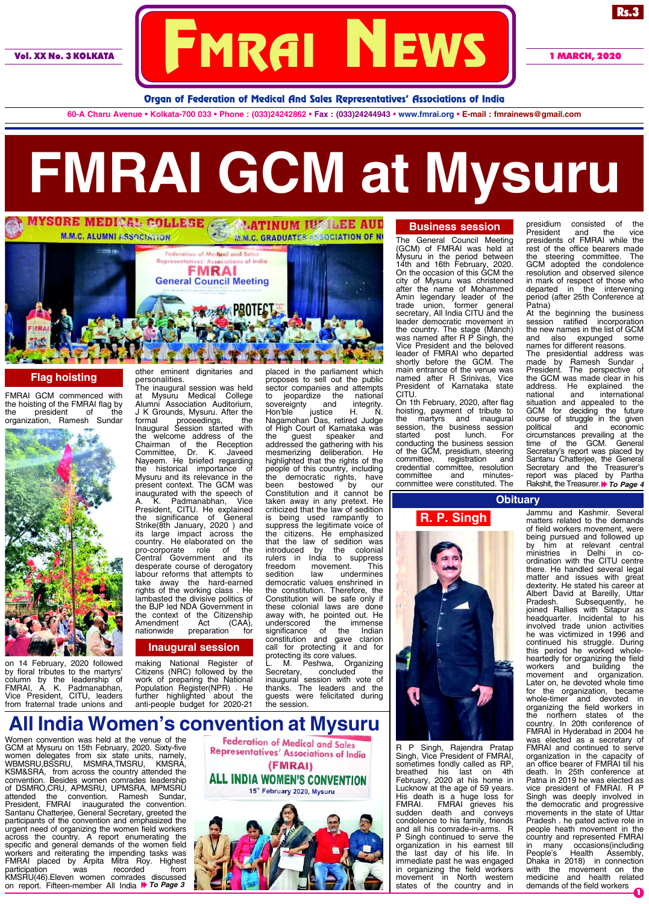

Rs.3

Organ of Federation of Medical And Sales Representatives' Associations of India

**60-A Charu Avenue • Kolkata-700 033 • Phone : (033)24242862 • Fax : (033)24244943 • www.fmrai.org • E-mail : fmrainews@gmail.com**

# **FMRAI GCM at Mysuru**



### **Flag hoisting**

FMRAI GCM commenced with the hoisting of the FMRAI flag by<br>the president of the president organization, Ramesh Sundar



on 14 February, 2020 followed by floral tributes to the martyrs' column by the leadership of FMRAI, A. K. Padmanabhan, President, CITU, leaders from fraternal trade unions and

other eminent dignitaries and personalities.

The inaugural session was held at Mysuru Medical College Alumni Association Auditorium, J K Grounds, Mysuru. After the formal proceedings, the Inaugural Session started with the welcome address of the Chairman of the Reception Committee, Dr. K. Javeed Nayeem. He briefed regarding the historical importance of Mysuru and its relevance in the present context. The GCM was inaugurated with the speech of<br>A. K. Padmanabhan. Vice A. K. Padmanabhan, Vice President, CITU. He explained the significance of General Strike(8th January, 2020 ) and its large impact across the country. He elaborated on the pro-corporate role of the Central Government and its desperate course of derogatory labour reforms that attempts to take away the hard-earned rights of the working class . He lambasted the divisive politics of the BJP led NDA Government in the context of the Citizenship<br>Amendment Act (CAA), Amendment Act (CAA), nationwide preparation for

#### **Inaugural session**

making National Register of Citizens (NRC) followed by the work of preparing the National Population Register(NPR) . He further highlighted about the anti-people budget for 2020-21

placed in the parliament which proposes to sell out the public sector companies and attempts to jeopardize the national<br>sovereignty and integrity. sovereignty and<br>Hon'ble justice Hon'ble justice H. N. Nagamohan Das, retired Judge of High Court of Karnataka was<br>the guest speaker and speaker addressed the gathering with his mesmerizing deliberation. He highlighted that the rights of the people of this country, including the democratic rights, have been bestowed by our Constitution and it cannot be taken away in any pretext. He criticized that the law of sedition is being used rampantly to suppress the legitimate voice of the citizens. He emphasized that the law of sedition was introduced by the colonial rulers in India to suppress freedom movement. This<br>sedition law undermines sedition law undermines democratic values enshrined in the constitution. Therefore, the Constitution will be safe only if these colonial laws are done away with, he pointed out. He underscored the immense significance of the Indian constitution and gave clarion call for protecting it and for protecting its core values.

L. M. Peshwa, Organizing Secretary, concluded the inaugural session with vote of thanks. The leaders and the guests were felicitated during the session.

## **Business session**

The General Council Meeting (GCM) of FMRAI was held at Mysuru in the period between 14th and 16th February, 2020. On the occasion of this GCM the city of Mysuru was christened after the name of Mohammed Amin legendary leader of the trade union, former general secretary, All India CITU and the leader democratic movement in the country. The stage (Manch) was named after R P Singh, the Vice President and the beloved leader of FMRAI who departed shortly before the GCM. The main entrance of the venue was named after R Srinivas, Vice President of Karnataka state CITU.

On 1th February, 2020, after flag hoisting, payment of tribute to the martyrs and inaugural session, the business session started post lunch. For conducting the business session of the GCM, presidium, steering committee, registration and credential committee, resolution committee and minutescommittee were constituted. The

presidium consisted of the President and the vice presidents of FMRAI while the rest of the office bearers made<br>the steering committee. The the steering committee. GCM adopted the condolence resolution and observed silence in mark of respect of those who departed in the intervening period (after 25th Conference at Patna)

At the beginning the business session ratified incorporation the new names in the list of GCM and also expunged some names for different reasons. The presidential address was made by Ramesh Sundar , President. The perspective of the GCM was made clear in his<br>address. He explained the address. He explained the national and international situation and appealed to the GCM for deciding the future course of struggle in the given political and economic circumstances prevailing at the time of the GCM. General Secretary's report was placed by Santanu Chatterjee, the General Secretary and the Treasurer's report was placed by Partha Rakshit, the Treasurer. **To Page 4** 

#### **Obituary**

Jammu and Kashmir. Several matters related to the demands of field workers movement, were being pursued and followed up by him at relevant central ministries in Delhi in coordination with the CITU centre **R. P. Singh**

there. He handled several legal matter and issues with great dexterity. He stated his career at Albert David at Bareilly, Uttar Pradesh. Subsequently, he joined Rallies with Sitapur as headquarter. Incidental to his involved trade union activities he was victimized in 1996 and continued his struggle. During this period he worked whole heartedly for organizing the field workers and building the movement and organization. Later on, he devoted whole time for the organization, became whole-timer and devoted in organizing the field workers in the northern states of the country. In 20th conference of FMRAI in Hyderabad in 2004 he was elected as a secretary of FMRAI and continued to serve organization in the capacity of an office bearer of FMRAI till his death. In 25th conference at Patna in 2019 he was elected as vice president of FMRAI. R P Singh was deeply involved in the democratic and progressive movements in the state of Uttar Pradesh . he pated active role in people heath movement in the country and represented FMRAI<br>in many occasions(including in many occasions(including People's Health Assembly, People's Health Assembly,<br>Dhaka in 2018) in connection with the movement on the medicine and health related

demands of the field workers

1



Women convention was held at the venue of the GCM at Mysuru on 15th February, 2020. Sixty-five women delegates from six state units, namely, WBMSRU,BSSRU, MSMRA,TMSRU, KMSRA, KSM&SRA, from across the country attended the convention. Besides women comrades leadership of DSMRO,CRU, APMSRU, UPMSRA, MPMSRU attended the convention. Ramesh Sundar, attended the convention. Ramesh Sundar,<br>President, FMRAI inaugurated the convention. Santanu Chatterjee, General Secretary, greeted the participants of the convention and emphasized the urgent need of organizing the women field workers across the country. A report enumerating the specific and general demands of the women field workers and reiterating the impending tasks was FMRAI placed by Arpita Mitra Roy. Highest participation was recorded from KMSRU(46).Eleven women comrades discussed on report. Fifteen-member All India *To Page 3*





R P Singh, Rajendra Pratap Singh, Vice President of FMRAI, sometimes fondly called as RP<br>breathed his last on 4th breathed his last on 4th February, 2020 at his home in Lucknow at the age of 59 years. His death is a huge loss for FMRAI. FMRAI grieves his sudden death and conveys condolence to his family, friends and all his comrade-in-arms. R P Singh continued to serve the organization in his earnest till the last day of his life. In immediate past he was engaged in organizing the field workers movement in North western states of the country and in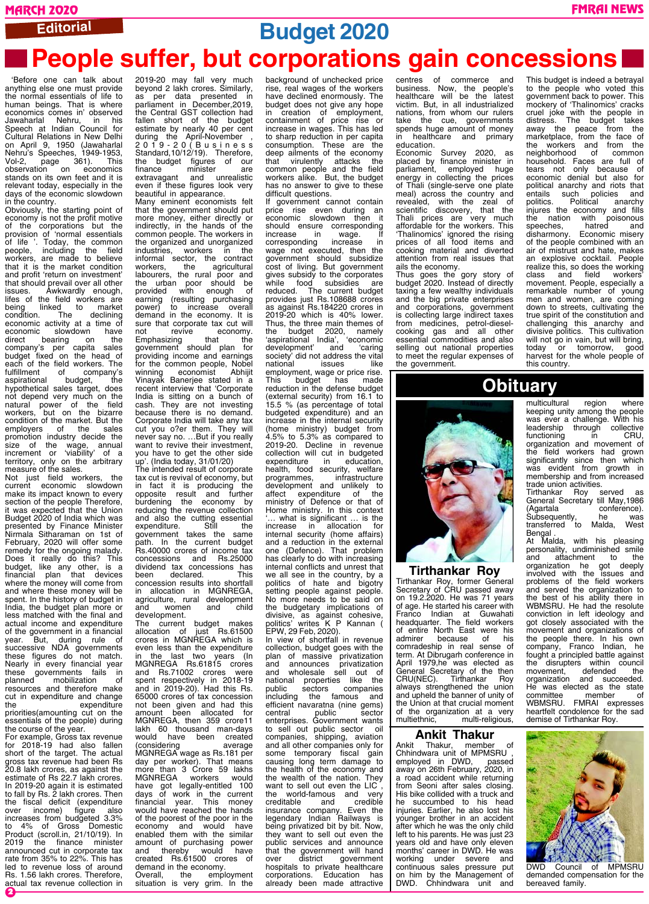**Editorial**

# **Budget 2020**

# **People suffer, but corporations gain concessions**

 'Before one can talk about anything else one must provide the normal essentials of life to human beings. That is where economics comes in' observed Jawaharlal Nehru, in his Speech at Indian Council for Cultural Relations in New Delhi on April 9, 1950 (Jawaharlal Nehru's Speeches, 1949-1953, Vol-2, page 361). This observation on economics stands on its own feet and it is relevant today, especially in the days of the economic slowdown in the country.

Obviously, the starting point of economy is not the profit motive of the corporations but the provision of 'normal essentials<br>of life ' Today the common of life '. Today, the common people, including the field workers, are made to believe that it is the market condition and profit 'return on investment' that should prevail over all other issues. Awkwardly enough, lifes of the field workers are being linked to market condition. The declining economic activity at a time of economic slowdown have direct bearing on the company's per capita sales budget fixed on the head of each of the field workers. The<br>fulfillment of company's f company's<br>budget, the aspirational hypothetical sales target, does not depend very much on the natural power of the field workers, but on the bizarre condition of the market. But the employers of the sales promotion industry decide the size of the wage, annual increment or 'viability' of a territory, only on the arbitrary measure of the sales.

Not just field workers, the current economic slowdown make its impact known to every section of the people Therefore, it was expected that the Union Budget 2020 of India which was presented by Finance Minister Nirmala Sitharaman on 1st of February, 2020 will offer some remedy for the ongoing malady. Does it really do this? This budget, like any other, is a financial plan that devices where the money will come from and where these money will be spent. In the history of budget in India, the budget plan more or less matched with the final and actual income and expenditure of the government in a financial year. But, during rule of successive NDA governments these figures do not match. Nearly in every financial year these governments fails in planned mobilization of resources and therefore make cut in expenditure and change<br>the expenditure the expenditure priorities(amounting cut on the essentials of the people) during the course of the year.

2 For example, Gross tax revenue for 2018-19 had also fallen short of the target. The actual gross tax revenue had been Rs 20.8 lakh crores, as against the estimate of Rs 22.7 lakh crores. In 2019-20 again it is estimated to fall by Rs. 2 lakh crores. Then the fiscal deficit (expenditure over income) figure also over income) figure also<br>increases from budgeted 3.3% to 4% of Gross Domestic Product (scroll.in, 21/10/19). In 2019 the finance minister announced cut in corporate tax rate from 35% to 22%. This has led to revenue loss of around Rs. 1.56 lakh crores. Therefore, actual tax revenue collection in

2019-20 may fall very much beyond 2 lakh crores. Similarly, as per data presented in parliament in December,2019, the Central GST collection had fallen short of the budget estimate by nearly 40 per cent during the April-November , 2019-20(Business Standard,10/12/19). Therefore, the budget figures of our finance minister are extravagant and unrealistic even if these figures look very beautiful in appearance. Many eminent economists felt that the government should put more money, either directly or indirectly, in the hands of the common people. The workers in the organized and unorganized industries, workers in the informal sector, the contract workers, the agricultural labourers, the rural poor and the urban poor should be provided with enough of earning (resulting purchasing power) to increase overall demand in the economy. It is sure that corporate tax cut will not revive economy. Emphasizing that the government should plan for providing income and earnings for the common people, Nobel winning economist Abhijit Vinayak Banerjee stated in a recent interview that 'Corporate India is sitting on a bunch of cash. They are not investing because there is no demand. Corporate India will take any tax cut you o?er them. They will never say no. …But if you really want to revive their investment you have to get the other side up'. (India today, 31/01/20) The intended result of corporate tax cut is revival of economy, but in fact it is producing the opposite result and further burdening the economy by reducing the revenue collection and also the cutting essential<br>expenditure. Still the expenditure. Still the government takes the same path. In the current budget

Rs.40000 crores of income tax concessions and Rs.25000 dividend tax concessions has been declared. This concession results into shortfall in allocation in MGNREGA, agriculture, rural development<br>and women and child women development. current budget

allocation of just Rs.61500 crores in MGNREGA which is even less than the expenditure in the last two years (In MGNREGA Rs.61815 crores and Rs.71002 crores were spent respectively in 2018-19 and in 2019-20). Had this Rs. 65000 crores of tax concession not been given and had this amount been allocated for MGNREGA, then 359 crore11 lakh 60 thousand man-days would have been created (considering average MGNREGA wage as Rs.181 per day per worker). That means more than 3 Crore 59 lakhs MGNREGA workers would have got legally-entitled 100 days of work in the current financial year. This money would have reached the hands of the poorest of the poor in the economy and would have enabled them with the similar amount of purchasing power and thereby would have created Rs.61500 crores of demand in the economy. Overall, the employment situation is very grim. In the

background of unchecked price rise, real wages of the workers have declined enormously. The budget does not give any hope<br>in creation of employment. in creation of employment, containment of price rise or increase in wages. This has led to sharp reduction in per capita consumption. These are the deep ailments of the economy that virulently attacks the common people and the field workers alike. But, the budget has no answer to give to these difficult questions.

If government cannot contain price rise even during an economic slowdown then it sochemic concerning<br>should ensure corresponding<br>increase in wage. If increase in wage. If corresponding increase in wage not executed, then the government should subsidize cost of living. But government gives subsidy to the corporates while food subsidies are reduced. The current budget provides just Rs.108688 crores as against Rs.184220 crores in 2019-20 which is 40% lower.<br>Thus, the three main themes of<br>the budget 2020, namely<br>"enirational India", "economic"<br>"caring" caring Thus, the three main themes of the budget 2020, namely 'aspirational India', 'economic development' and 'caring society' did not address the vital national issues like employment, wage or price rise. This budget has made reduction in the defense budget (external security) from 16.1 to 15.5 % (as percentage of total budgeted expenditure) and an increase in the internal security (home ministry) budget from 4.5% to 5.3% as compared to 2019-20. Decline in revenue collection will cut in budgeted<br>expenditure in education. expenditure in education,<br>health, food security, welfare health, food security, welfare programmes, infrastructure development and unlikely to affect expenditure of the ministry of Defence or that of Home ministry. In this context '… what is significant … is the increase in allocation for internal security (home affairs) and a reduction in the external one (Defence). That problem has clearly to do with increasing internal conflicts and unrest that we all see in the country, by a politics of hate and bigotry setting people against people. No more needs to be said on the budgetary implications of divisive, as against cohesive, politics' writes K P Kannan ( EPW, 29 Feb, 2020).

In view of shortfall in revenue collection, budget goes with the plan of massive privatization<br>and announces privatization and announces privatization<br>and wholesale sell out of and wholesale sell out of<br>national properties like the properties like the<br>sectors companies public sectors companies including the famous and efficient navaratna (nine gems) central public sector enterprises. Government wants to sell out public sector companies, shipping, aviation and all other companies only for some temporary fiscal gain causing long term damage to the health of the economy and the wealth of the nation. They want to sell out even the LIC , the world-famous and very<br>creditable and credible creditable and credible insurance company. Even the legendary Indian Railways is being privatized bit by bit. Now, they want to sell out even the public services and announce that the government will hand over district government hospitals to private healthcare corporations. Education has already been made attractive

centres of commerce and business. Now, the people's healthcare will be the latest victim. But, in all industrialized nations, from whom our rulers take the cue, governments spends huge amount of money in healthcare and primary education.

Economic Survey 2020, as placed by finance minister in parliament, employed huge energy in collecting the prices of Thali (single-serve one plate meal) across the country and revealed, with the zeal of scientific discovery, that the Thali prices are very much affordable for the workers. This 'Thalinomics' ignored the rising prices of all food items and cooking material and diverted attention from real issues that ails the economy.

Thus goes the gory story of budget 2020. Instead of directly taxing a few wealthy individuals and the big private enterprises and corporations, government is collecting large indirect taxes from medicines, petrol-dieselcooking gas and all other essential commodities and also selling out national properties to meet the regular expenses of the government.

This budget is indeed a betrayal to the people who voted this government back to power. This mockery of 'Thalinomics' cracks cruel joke with the people in distress. The budget takes away the peace from the marketplace, from the face of the workers and from the neighborhood of common neighborhood of common<br>household. Faces are full of tears not only because of economic denial but also for political anarchy and riots that<br>entails such policies and entails such<br>politics. Pol politics. Political anarchy injures the economy and fills the nation with<br>speeches, hatm show, and the<br>with poisonous<br>hatred and disharmony. Economic misery of the people combined with an air of mistrust and hate, makes an explosive cocktail. People realize this, so does the working class and field workers' movement. People, especially a remarkable number of young men and women, are coming down to streets, cultivating the true spirit of the constitution and challenging this anarchy and divisive politics. This cultivation will not go in vain, but will bring, today or tomorrow, good harvest for the whole people of this country.

multicultural region where keeping unity among the people was ever a challenge. With his leadership through collective functioning in CRU, organization and movement of the field workers had grown significantly since then which was evident from growth in membership and from increased trade union activities.<br>Tirthankar Boy served Tirthankar Rov

General Secretary till May, 1986<br>(Agartala conference). (Agartala conference). Subsequently, he was transferred to Malda, West

At Malda, with his pleasing personality, undiminished smile and attachment to the organization he got deeply involved with the issues and problems of the field workers and served the organization to the best of his ability there in WBMSRU. He had the resolute conviction in left ideology and got closely associated with the movement and organizations of the people there. In his own company, Franco Indian, he fought a principled battle against the disrupters within council

Bengal .

# **Obituary**



#### **Tirthankar Roy**

Tirthankar Roy, former General Secretary of CRU passed away on 19.2.2020. He was 71 years of age. He started his career with Franco Indian at Guwahati headquarter. The field workers of entire North East were his admirer because of his comradeship in real sense of term. At Dibrugarh conference in April 1979,he was elected as General Secretary of the then CRU(NEC). Tirthankar Roy always strengthened the union and upheld the banner of unity of the Union at that crucial moment of the organization at a very<br>multiethnic, multi-religious, multi-religious,

#### **Ankit Thakur**

Ankit Thakur, member of Chhindwara unit of MPMSRU , employed in DWD, passed away on 26th February, 2020, in a road accident while returning from Seoni after sales closing. His bike collided with a truck and he succumbed to his head injuries. Earlier, he also lost his younger brother in an accident after which he was the only child left to his parents. He was just 23 years old and have only eleven months' career in DWD. He was working under severe and continuous sales pressure put on him by the Management of DWD. Chhindwara unit and



DWD Council of MPMSRU demanded compensation for the bereaved family.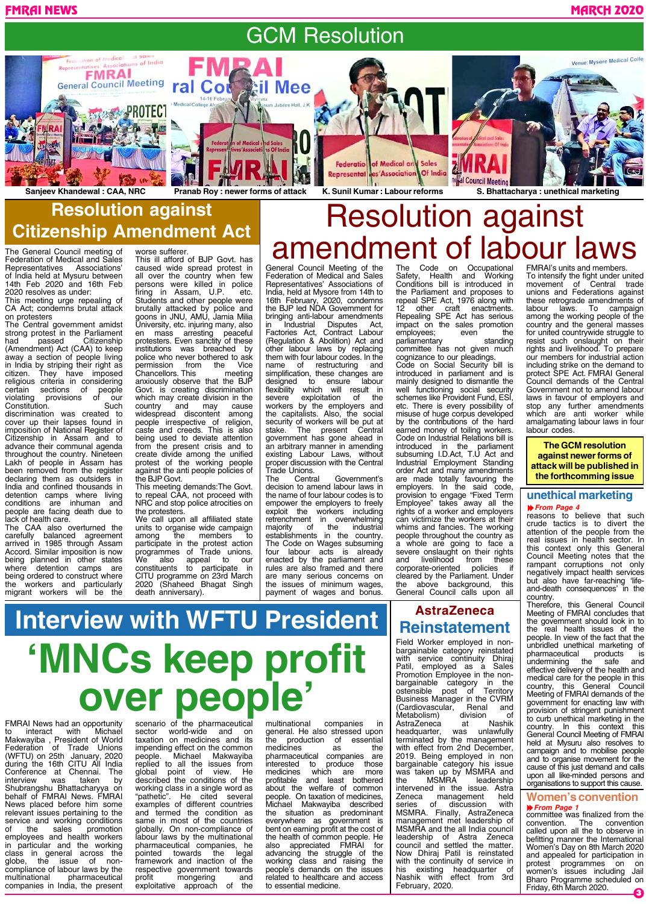# GCM Resolution

FMRAI NEWS MARCH 2020



**Resolution against Citizenship Amendment Act**

The General Council meeting of Federation of Medical and Sales Representatives Associations' of India held at Mysuru between 14th Feb 2020 and 16th Feb 2020 resolves as under:

This meeting urge repealing of CA Act; condemns brutal attack on protesters

The Central government amidst strong protest in the Parliament had passed Citizenship (Amendment) Act (CAA) to keep away a section of people living in India by striping their right as citizen. They have imposed religious criteria in considering certain sections of people violating provisions of our Constitution. Such

discrimination was created to cover up their lapses found in imposition of National Register of Citizenship in Assam and to advance their communal agenda throughout the country. Nineteen Lakh of people in Assam has been removed from the register declaring them as outsiders in India and confined thousands in detention camps where living conditions are inhuman and people are facing death due to lack of health care.

The CAA also overturned the carefully balanced agreement arrived in 1985 through Assam Accord. Similar imposition is now being planned in other states where detention camps are being ordered to construct where the workers and particularly migrant workers will be the

This ill afford of BJP Govt. has caused wide spread protest in

worse sufferer.

all over the country when few persons were killed in police<br>firing in Assam, U.P. etc.  $\frac{1}{2}$  in Assam, U.P. Students and other people were brutally attacked by police and goons in JNU, AMU, Jamia Milia University, etc. injuring many, also en mass arresting peaceful protesters. Even sanctity of these institutions was breached by police who never bothered to ask permission from the Vice Chancellors. This meeting anxiously observe that the BJP Govt. is creating discrimination which may create division in the country and may cause widespread discontent among people irrespective of religion, caste and creeds. This is also being used to deviate attention from the present crisis and to create divide among the unified protest of the working people against the anti people policies of the BJP Govt.

This meeting demands:The Govt. to repeal CAA, not proceed with NRC and stop police atrocities on the protesters.

We call upon all affiliated state units to organise wide campaign<br>among the members to among the members to participate in the protest action programmes of Trade unions. We also appeal to our constituents to participate in CITU programme on 23rd March (Shaheed Bhagat Singh death anniversary).

General Council Meeting of the Federation of Medical and Sales Representatives' Associations of India, held at Mysore from 14th to 16th February, 2020, condemns the BJP led NDA Government for bringing anti-labour amendments<br>in Industrial Disputes Act, **Industrial** Factories Act, Contract Labour (Regulation & Abolition) Act and other labour laws by replacing them with four labour codes. In the name of restructuring and simplification, these changes are designed to ensure labour flexibility which will result in severe exploitation of the workers by the employers and the capitalists. Also, the social security of workers will be put at<br>stake. The present Central The present government has gone ahead in an arbitrary manner in amending existing Labour Laws, without proper discussion with the Central Trade Unions.<br>The Central amend ment of labour laws

Government's decision to amend labour laws in the name of four labour codes is to empower the employers to freely exploit the workers including retrenchment in overwhelming majority of the industrial establishments in the country. The Code on Wages subsuming four labour acts is already enacted by the parliament and rules are also framed and there are many serious concerns on the issues of minimum wages, payment of wages and bonus.

Occupational<br>and Working Safety, Health and Working Conditions bill is introduced in the Parliament and proposes to repeal SPE Act, 1976 along with 12 other craft enactments. Repealing SPE Act has serious impact on the sales promotion<br>employees; even the employees; even the<br>parliamentary standing parliamentary committee has not given much cognizance to our pleadings.

Resolution against

Code on Social Security bill is introduced in parliament and is mainly designed to dismantle the well functioning social security schemes like Provident Fund, ESI, etc. There is every possibility of misuse of huge corpus developed by the contributions of the hard earned money of toiling workers. Code on Industrial Relations bill is introduced in the parliament subsuming I.D.Act, T.U Act and Industrial Employment Standing order Act and many amendments are made totally favouring the employers. In the said code, provision to engage "Fixed Term Employee" takes away all the rights of a worker and employers can victimize the workers at their whims and fancies. The working people throughout the country as a whole are going to face a severe onslaught on their rights and livelihood from these<br>corporate-oriented policies if corporate-oriented policies if cleared by the Parliament. Under the above background, this General Council calls upon all

## **AstraZeneca Reinstatement**

Field Worker employed in nonbargainable category reinstated with service continuity Dhiraj Patil, employed as a Sales Promotion Employee in the nonbargainable category in the ostensible post of Territory Business Manager in the CVRM<br>(Cardiovascular, Renal and (Cardiovascular, Renal<br>Metabolism) division Metabolism) division of<br>AstraZeneca at Nashik AstraZeneca at Nashik<br>headquarter, was unlawfully headquarter, terminated by the management with effect from 2nd December, 2019. Being employed in non bargainable category his issue was taken up by MSMRA and the MSMRA leadership intervened in the issue. Astra Zeneca management held<br>series of discussion with series of discussion with MSMRA. Finally, AstraZeneca management met leadership of MSMRA and the all India council leadership of Astra Zeneca council and settled the matter. Now Dhiraj Patil is reinstated with the continuity of service in his existing headquarter of Nashik with effect from 3rd February, 2020.

FMRAI's units and members. To intensify the fight under united<br>movement of Central trade movement of Central trade unions and Federations against these retrograde amendments of labour laws. To campaign among the working people of the country and the general masses for united countrywide struggle to resist such onslaught on their rights and livelihood. To prepare our members for industrial action including strike on the demand to protect SPE Act. FMRAI General Council demands of the Central Government not to amend labour laws in favour of employers and stop any further amendments which are anti worker while amalgamating labour laws in four labour codes.

**The GCM resolution against newer forms of attack will be published in the forthcomming issue**

#### *From Page 4* **unethical marketing**

reasons to believe that such crude tactics is to divert the attention of the people from the real issues in health sector. In this context only this General Council Meeting notes that the rampant corruptions not only negatively impact health services but also have far-reaching 'lifeand-death consequences' in the country.

Therefore, this General Council Meeting of FMRAI concludes that the government should look in to real health issues of the people. In view of the fact that the unbridled unethical marketing of pharmaceutical products is undermining the safe and effective delivery of the health and medical care for the people in this country, this General Council Meeting of FMRAI demands of the government for enacting law with provision of stringent punishment to curb unethical marketing in the country. In this context this General Council Meeting of FMRAI held at Mysuru also resolves to campaign and to mobilise people and to organise movement for the cause of this just demand and calls upon all like-minded persons and organisations to support this cause.

# **Women's convention**

**A** *From Page 1* committee was finalized from the convention. The convention called upon all the to observe in befitting manner the International Women's Day on 8th March 2020 and appealed for participation in<br>protest programmes on on<br>women's issues including Jail protest programmes on on women's issues including Jail Bharo Programme scheduled on Friday, 6th March 2020.

# **'MNCs keep profit<br>
<b>OVEY people'**<br>
INews had an opportunity scenario of the pharmaceutical multinational companies **Interview with WFTU President**

FMRAI News had an opportunity to interact with Michael Makwayiba , President of World Federation of Trade Unions (WFTU) on 25th January, 2020 during the 16th CITU All India Conference at Chennai. The<br>interview was taken by interview was taken by Shubrangshu Bhattacharyya on behalf of FMRAI News. FMRAI News placed before him some relevant issues pertaining to the service and working conditions<br>of the sales promotion promotion employees and health workers in particular and the working class in general across the globe, the issue of noncompliance of labour laws by the multinational pharmaceutical companies in India, the present

scenario of the pharmaceutical sector world-wide and on taxation on medicines and its impending effect on the common people. Michael Makwayiba replied to all the issues from global point of view. He described the conditions of the working class in a single word as "pathetic". He cited several examples of different countries and termed the condition as same in most of the countries globally. On non-compliance of labour laws by the multinational pharmaceutical companies, he pointed towards the legal framework and inaction of the respective government towards<br>profit mongering and profit mongering and exploitative approach of the

multinational companies in general. He also stressed upon the production of essential medicines as the<br>pharmaceutical companies are pharmaceutical companies are<br>interested to produce those interested to produce those medicines which are more profitable and least bothered about the welfare of common people. On taxation of medicines, Michael Makwayiba described the situation as predominant everywhere as government is bent on earning profit at the cost of the health of common people. He also appreciated FMRAI for advancing the struggle of the working class and raising the people's demands on the issues related to healthcare and access to essential medicine.